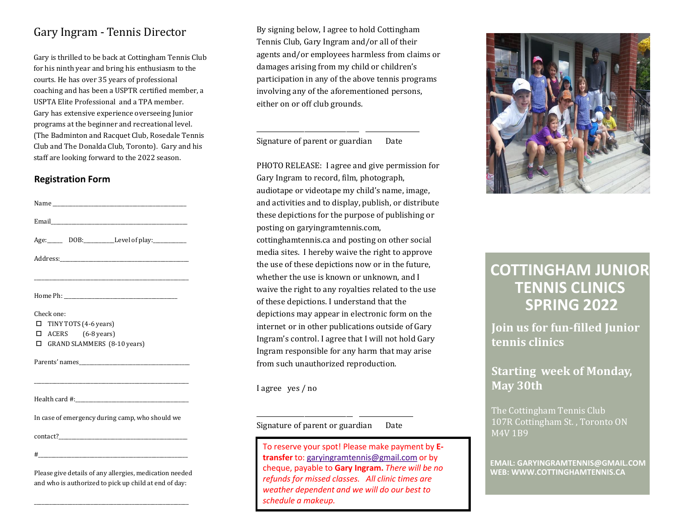## Gary Ingram - Tennis Director

Gary is thrilled to be back at Cottingham Tennis Club for his ninth year and bring his enthusiasm to the courts. He has over 35 years of professional coaching and has been a USPTR certified member, a USPTA Elite Professional and a TPA member. Gary has extensive experience overseeing Junior programs at the beginner and recreational level. (The Badminton and Racquet Club, Rosedale Tennis Club and The Donalda Club, Toronto). Gary and his staff are looking forward to the 2022 season.

#### **Registration Form**

| Name and the contract of the contract of the contract of the contract of the contract of the contract of the contract of the contract of the contract of the contract of the contract of the contract of the contract of the c |
|--------------------------------------------------------------------------------------------------------------------------------------------------------------------------------------------------------------------------------|
|                                                                                                                                                                                                                                |
| Age: DOB: Level of play:                                                                                                                                                                                                       |
|                                                                                                                                                                                                                                |
|                                                                                                                                                                                                                                |
|                                                                                                                                                                                                                                |
| Check one:<br>TINY TOTS (4-6 years)<br>п<br>$\Box$ ACERS (6-8 years)                                                                                                                                                           |
| <b>GRAND SLAMMERS</b> (8-10 years)<br>п                                                                                                                                                                                        |
|                                                                                                                                                                                                                                |
| <u> 1989 - Johann John Stone, markin biskup fan de ferske fan de ferske fan de ferske fan de ferske fan de ferske</u>                                                                                                          |
| Health card #: the contract of the contract of the contract of the contract of the contract of the contract of                                                                                                                 |
| In case of emergency during camp, who should we                                                                                                                                                                                |
|                                                                                                                                                                                                                                |
| $\#$ . The contract of the contract of the contract of the contract of the contract of the contract of the contract of the contract of the contract of the contract of the contract of the contract of the contract of the co  |
| Please give details of any allergies, medication needed<br>and who is authorized to pick up child at end of day:                                                                                                               |

\_\_\_\_\_\_\_\_\_\_\_\_\_\_\_\_\_\_\_\_\_\_\_\_\_\_\_\_\_\_\_\_\_\_\_\_\_\_\_\_\_\_\_\_\_\_\_\_\_\_\_\_\_\_\_\_\_\_\_\_

By signing below, I agree to hold Cottingham Tennis Club, Gary Ingram and/or all of their agents and/or employees harmless from claims or damages arising from my child or children's participation in any of the above tennis programs involving any of the aforementioned persons, either on or off club grounds.

Signature of parent or guardian Date

\_\_\_\_\_\_\_\_\_\_\_\_\_\_\_\_\_\_\_\_\_\_\_\_\_\_\_\_\_\_\_\_ \_\_\_\_\_\_\_\_\_\_\_\_\_\_\_\_\_

PHOTO RELEASE: I agree and give permission for Gary Ingram to record, film, photograph, audiotape or videotape my child's name, image, and activities and to display, publish, or distribute these depictions for the purpose of publishing or posting on garyingramtennis.com, cottinghamtennis.ca and posting on other social media sites. I hereby waive the right to approve the use of these depictions now or in the future, whether the use is known or unknown, and I waive the right to any royalties related to the use of these depictions. I understand that the depictions may appear in electronic form on the internet or in other publications outside of Gary Ingram's control. I agree that I will not hold Gary Ingram responsible for any harm that may arise from such unauthorized reproduction.

I agree yes / no

Signature of parent or guardian Date

\_\_\_\_\_\_\_\_\_\_\_\_\_\_\_\_\_\_\_\_\_\_\_\_\_\_\_\_\_\_ \_\_\_\_\_\_\_\_\_\_\_\_\_\_\_\_\_

To reserve your spot! Please make payment by **Etransfer** to: [garyingramtennis@gmail.com](mailto:garyingramtennis@gmail.com) or by cheque, payable to **Gary Ingram.** *There will be no refunds for missed classes. All clinic times are weather dependent and we will do our best to schedule a makeup.*



# **COTTINGHAM JUNIOR TENNIS CLINICS SPRING 2022**

**Join us for fun-filled Junior tennis clinics**

# **Starting week of Monday, May 30th**

The Cottingham Tennis Club 107R Cottingham St. , Toronto ON M4V 1B9

**EMAIL: GARYINGRAMTENNIS@GMAIL.COM WEB: WWW.COTTINGHAMTENNIS.CA**